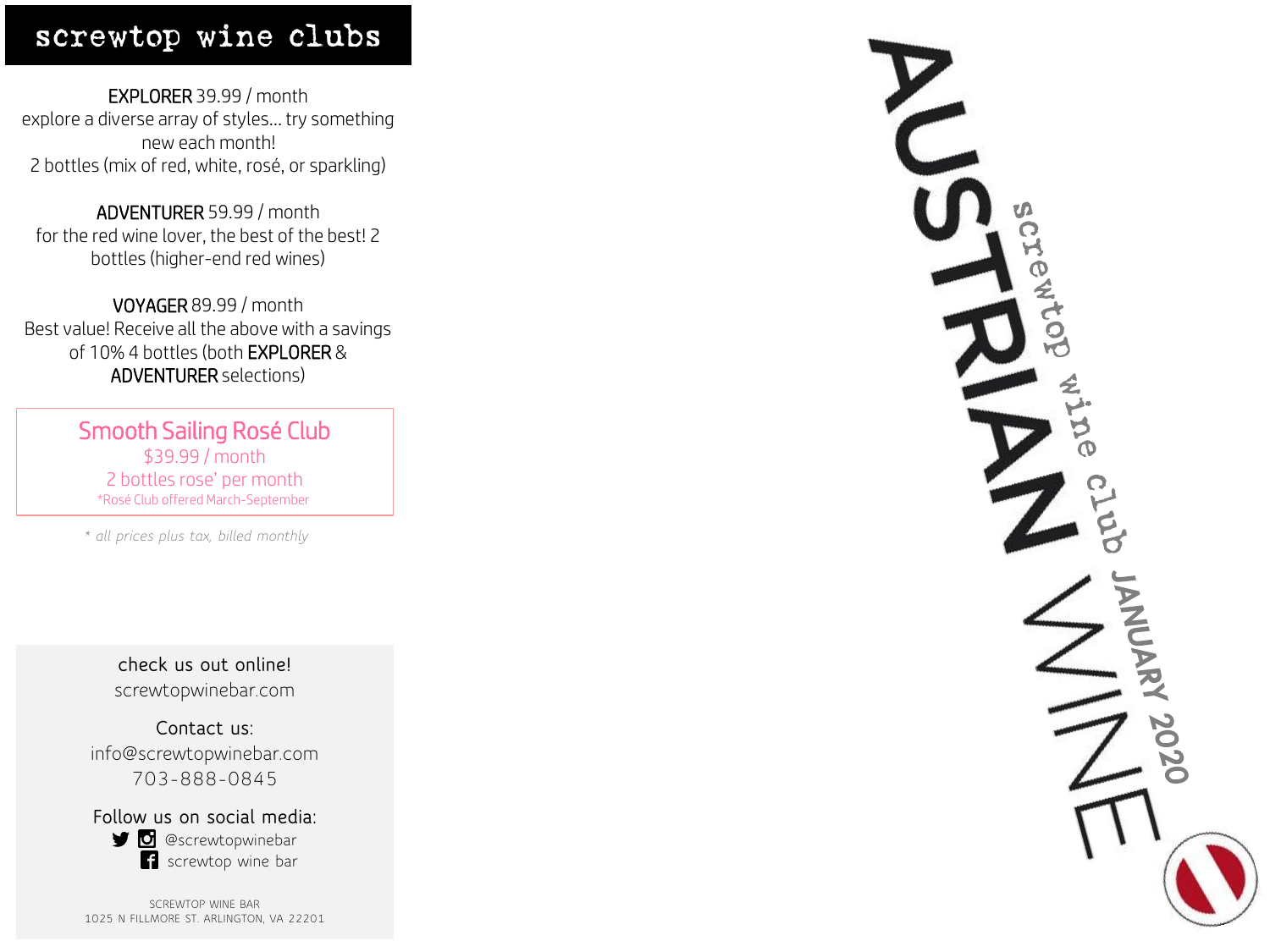## screwtop wine clubs

EXPLORER 39.99 / month explore a diverse array of styles… try something new each month! 2 bottles (mix of red, white, rosé, or sparkling)

ADVENTURER 59.99 / month for the red wine lover, the best of the best! 2 bottles (higher-end red wines)

VOYAGER 89.99 / month Best value! Receive all the above with a savings of 10% 4 bottles (both EXPLORER & ADVENTURER selections)

> Smooth Sailing Rosé Club \$39.99 / month 2 bottles rose' per month \*Rosé Club offered March-September

*\* all prices plus tax, billed monthly*

**check us out online!** screwtopwinebar.com

**Contact us:** info@screwtopwinebar.com 703-888-0845

**Follow us on social media: D** @screwtopwinebar screwtop wine bar

SCREWTOP WINE BAR 1025 N FILLMORE ST. ARLINGTON, VA 22201